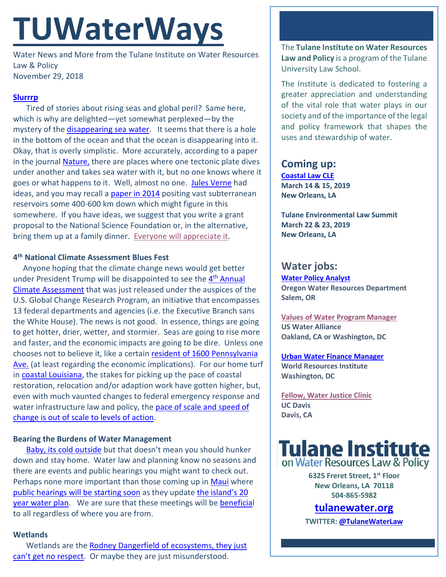# **TUWaterWays**

Water News and More from the Tulane Institute on Water Resources Law & Policy November 29, 2018

#### **[Slurrrp](https://www.youtube.com/watch?v=PMEe0aQQ2bE)**

Tired of stories about rising seas and global peril? Same here, which is why are delighted—yet somewhat perplexed—by the mystery of the *disappearing sea water*. It seems that there is a hole in the bottom of the ocean and that the ocean is disappearing into it. Okay, that is overly simplistic. More accurately, according to a paper in the journal [Nature,](https://www.nature.com/articles/nature13080) there are places where one tectonic plate dives under another and takes sea water with it, but no one knows where it goes or what happens to it. Well, almost no one. [Jules Verne](https://www.bing.com/videos/search?q=jules+verne+subterranean+sea+journey+center&&view=detail&mid=8B35E7170FC0180E6C8B8B35E7170FC0180E6C8B&&FORM=VRDGAR) had ideas, and you may recall a [paper in 2014](https://www.nature.com/articles/nature13080) positing vast subterranean reservoirs some 400-600 km down which might figure in this somewhere. If you have ideas, we suggest that you write a grant proposal to the National Science Foundation or, in the alternative, bring them up at a family dinner. [Everyone will appreciate it.](https://images.gr-assets.com/hostedimages/1448295609ra/17119460.gif)

#### **4th National Climate Assessment Blues Fest**

Anyone hoping that the climate change news would get better under President Trump will be disappointed to see the 4<sup>th</sup> Annual [Climate Assessment](https://nca2018.globalchange.gov/) that was just released under the auspices of the U.S. Global Change Research Program, an initiative that encompasses 13 federal departments and agencies (i.e. the Executive Branch sans the White House). The news is not good. In essence, things are going to get hotter, drier, wetter, and stormier. Seas are going to rise more and faster, and the economic impacts are going to be dire. Unless one chooses not to believe it, like a certain resident of 1600 Pennsylvania [Ave.](https://nypost.com/2018/11/26/trump-on-his-governments-climate-report-i-dont-believe-it/) (at least regarding the economic implications). For our home turf in [coastal Louisiana,](https://nca2014.globalchange.gov/report/regions/coasts/graphics/projected-land-loss-sea-level-rise-coastal-louisiana) the stakes for picking up the pace of coastal restoration, relocation and/or adaption work have gotten higher, but, even with much vaunted changes to federal emergency response and water infrastructure law and policy, the pace of scale and speed of [change is out of scale to levels of action.](https://nca2014.globalchange.gov/report/regions/coasts/graphics/projected-land-loss-sea-level-rise-coastal-louisiana)

#### **Bearing the Burdens of Water Management**

[Baby, its cold outside](https://tenor.com/view/itscold-dogs-pets-gif-10582145) but that doesn't mean you should hunker down and stay home. Water law and planning know no seasons and there are events and public hearings you might want to check out. Perhaps none more important than those coming up in [Maui](https://en.wikipedia.org/wiki/Maui) where [public hearings will be starting soon](https://www.sfgate.com/news/article/Maui-begins-process-to-update-20-year-water-plan-13423841.php) as they update the island's 20 [year water plan.](https://www.mauicounty.gov/221/Water-Use-Development-Plan) We are sure that these meetings will be [beneficial](https://www.youtube.com/watch?v=caXEIfbMFx4) to all regardless of where you are from.

#### **Wetlands**

Wetlands are the [Rodney Dangerfield of ecosystems, they just](https://www.youtube.com/watch?v=ZCVR_ajL_Eo)  [can't get no respect.](https://www.youtube.com/watch?v=ZCVR_ajL_Eo) Or maybe they are just misunderstood.

The **Tulane Institute on Water Resources Law and Policy** is a program of the Tulane University Law School.

The Institute is dedicated to fostering a greater appreciation and understanding of the vital role that water plays in our society and of the importance of the legal and policy framework that shapes the uses and stewardship of water.

## **Coming up:**

**[Coastal Law CLE](https://www.theseminargroup.net/seminardetl.aspx?id=19.shrNO) March 14 & 15, 2019 New Orleans, LA**

**Tulane Environmental Law Summit March 22 & 23, 2019 New Orleans, LA** 

### **Water jobs:**

**Water Policy Analyst Oregon Water Resources Department Salem, OR**

**[Values of Water Program Manager](https://careers.wbcsd.org/job/climate-energy-2/) US Water Alliance Oakland, CA or Washington, DC**

**[Urban Water Finance Manager](https://jobs.jobvite.com/wri/job/oneM8fwf) World Resources Institute Washington, DC**

**[Fellow, Water Justice Clinic](https://www.openchannels.org/jobs/2018-10-31/aoki-water-justice-clinic-fellowship-uc-davis-school-law) UC Davis Davis, CA**



**6325 Freret Street, 1st Floor New Orleans, LA 70118 504-865-5982** 

## **tulanewater.org**

**TWITTER[: @TulaneWaterLaw](http://www.twitter.com/TulaneWaterLaw)**